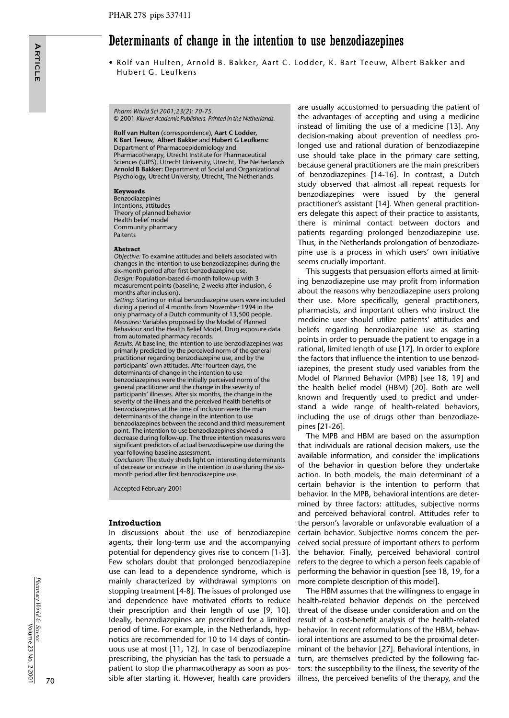Article ARTICLE

# Determinants of change in the intention to use benzodiazepines

• Rolf van Hulten, Arnold B. Bakker, Aart C. Lodder, K. Bart Teeuw, Albert Bakker and Hubert G. Leufkens

*Pharm World Sci 2001;23(2): 70-75.* © 2001 *Kluwer Academic Publishers. Printed in the Netherlands.*

**Rolf van Hulten** (correspondence)**, Aart C Lodder, K Bart Teeuw, Albert Bakker** and **Hubert G Leufkens:** Department of Pharmacoepidemiology and Pharmacotherapy, Utrecht Institute for Pharmaceutical Sciences (UIPS), Utrecht University, Utrecht, The Netherlands **Arnold B Bakker:** Department of Social and Organizational Psychology, Utrecht University, Utrecht, The Netherlands

#### **Keywords**

Benzodiazepines Intentions, attitudes Theory of planned behavior Health belief model Community pharmacy Paitents

#### **Abstract**

*Objective:* To examine attitudes and beliefs associated with changes in the intention to use benzodiazepines during the six-month period after first benzodiazepine use. *Design:* Population-based 6-month follow-up with 3 measurement points (baseline, 2 weeks after inclusion, 6 months after inclusion).

*Setting:* Starting or initial benzodiazepine users were included during a period of 4 months from November 1994 in the only pharmacy of a Dutch community of 13,500 people. *Measures:* Variables proposed by the Model of Planned Behaviour and the Health Belief Model. Drug exposure data from automated pharmacy records. *Results:* At baseline, the intention to use benzodiazepines was primarily predicted by the perceived norm of the general practitioner regarding benzodiazepine use, and by the participants' own attitudes. After fourteen days, the determinants of change in the intention to use benzodiazepines were the initially perceived norm of the general practitioner and the change in the severity of participants' illnesses. After six months, the change in the severity of the illness and the perceived health benefits of benzodiazepines at the time of inclusion were the main determinants of the change in the intention to use benzodiazepines between the second and third measurement point. The intention to use benzodiazepines showed a decrease during follow-up. The three intention measures were significant predictors of actual benzodiazepine use during the year following baseline assessment.

*Conclusion:* The study sheds light on interesting determinants of decrease or increase in the intention to use during the sixmonth period after first benzodiazepine use.

Accepted February 2001

### **Introduction**

In discussions about the use of benzodiazepine agents, their long-term use and the accompanying potential for dependency gives rise to concern [1-3]. Few scholars doubt that prolonged benzodiazepine use can lead to a dependence syndrome, which is mainly characterized by withdrawal symptoms on stopping treatment [4-8]. The issues of prolonged use and dependence have motivated efforts to reduce their prescription and their length of use [9, 10]. Ideally, benzodiazepines are prescribed for a limited period of time. For example, in the Netherlands, hypnotics are recommended for 10 to 14 days of continuous use at most [11, 12]. In case of benzodiazepine prescribing, the physician has the task to persuade a patient to stop the pharmacotherapy as soon as possible after starting it. However, health care providers

are usually accustomed to persuading the patient of the advantages of accepting and using a medicine instead of limiting the use of a medicine [13]. Any decision-making about prevention of needless prolonged use and rational duration of benzodiazepine use should take place in the primary care setting, because general practitioners are the main prescribers of benzodiazepines [14-16]. In contrast, a Dutch study observed that almost all repeat requests for benzodiazepines were issued by the general practitioner's assistant [14]. When general practitioners delegate this aspect of their practice to assistants, there is minimal contact between doctors and patients regarding prolonged benzodiazepine use. Thus, in the Netherlands prolongation of benzodiazepine use is a process in which users' own initiative seems crucially important.

This suggests that persuasion efforts aimed at limiting benzodiazepine use may profit from information about the reasons why benzodiazepine users prolong their use. More specifically, general practitioners, pharmacists, and important others who instruct the medicine user should utilize patients' attitudes and beliefs regarding benzodiazepine use as starting points in order to persuade the patient to engage in a rational, limited length of use [17]. In order to explore the factors that influence the intention to use benzodiazepines, the present study used variables from the Model of Planned Behavior (MPB) [see 18, 19] and the health belief model (HBM) [20]. Both are well known and frequently used to predict and understand a wide range of health-related behaviors, including the use of drugs other than benzodiazepines [21-26].

The MPB and HBM are based on the assumption that individuals are rational decision makers, use the available information, and consider the implications of the behavior in question before they undertake action. In both models, the main determinant of a certain behavior is the intention to perform that behavior. In the MPB, behavioral intentions are determined by three factors: attitudes, subjective norms and perceived behavioral control. Attitudes refer to the person's favorable or unfavorable evaluation of a certain behavior. Subjective norms concern the perceived social pressure of important others to perform the behavior. Finally, perceived behavioral control refers to the degree to which a person feels capable of performing the behavior in question [see 18, 19, for a more complete description of this model].

The HBM assumes that the willingness to engage in health-related behavior depends on the perceived threat of the disease under consideration and on the result of a cost-benefit analysis of the health-related behavior. In recent reformulations of the HBM, behavioral intentions are assumed to be the proximal determinant of the behavior [27]. Behavioral intentions, in turn, are themselves predicted by the following factors: the susceptibility to the illness, the severity of the illness, the perceived benefits of the therapy, and the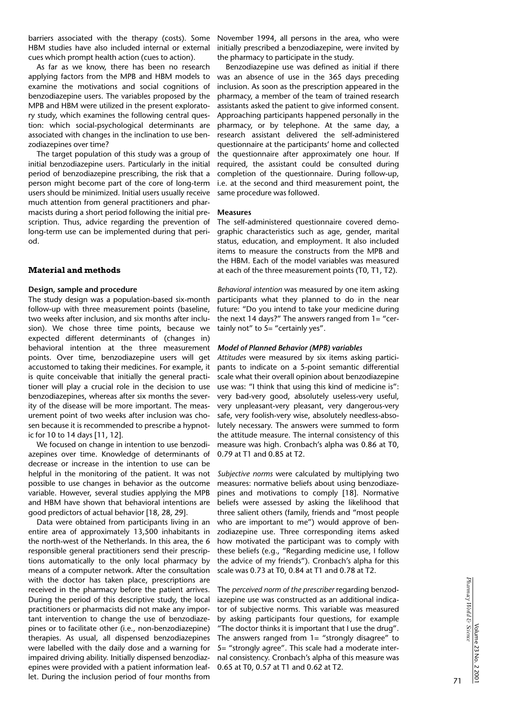barriers associated with the therapy (costs). Some HBM studies have also included internal or external cues which prompt health action (cues to action).

As far as we know, there has been no research applying factors from the MPB and HBM models to examine the motivations and social cognitions of benzodiazepine users. The variables proposed by the MPB and HBM were utilized in the present exploratory study, which examines the following central question: which social-psychological determinants are associated with changes in the inclination to use benzodiazepines over time?

The target population of this study was a group of initial benzodiazepine users. Particularly in the initial period of benzodiazepine prescribing, the risk that a person might become part of the core of long-term users should be minimized. Initial users usually receive much attention from general practitioners and pharmacists during a short period following the initial prescription. Thus, advice regarding the prevention of long-term use can be implemented during that period.

### **Material and methods**

# **Design, sample and procedure**

The study design was a population-based six-month follow-up with three measurement points (baseline, two weeks after inclusion, and six months after inclusion). We chose three time points, because we expected different determinants of (changes in) behavioral intention at the three measurement points. Over time, benzodiazepine users will get accustomed to taking their medicines. For example, it is quite conceivable that initially the general practitioner will play a crucial role in the decision to use benzodiazepines, whereas after six months the severity of the disease will be more important. The measurement point of two weeks after inclusion was chosen because it is recommended to prescribe a hypnotic for 10 to 14 days [11, 12].

We focused on change in intention to use benzodiazepines over time. Knowledge of determinants of decrease or increase in the intention to use can be helpful in the monitoring of the patient. It was not possible to use changes in behavior as the outcome variable. However, several studies applying the MPB and HBM have shown that behavioral intentions are good predictors of actual behavior [18, 28, 29].

Data were obtained from participants living in an entire area of approximately 13,500 inhabitants in the north-west of the Netherlands. In this area, the 6 responsible general practitioners send their prescriptions automatically to the only local pharmacy by means of a computer network. After the consultation with the doctor has taken place, prescriptions are received in the pharmacy before the patient arrives. During the period of this descriptive study, the local practitioners or pharmacists did not make any important intervention to change the use of benzodiazepines or to facilitate other (i.e., non-benzodiazepine) therapies. As usual, all dispensed benzodiazepines were labelled with the daily dose and a warning for impaired driving ability. Initially dispensed benzodiazepines were provided with a patient information leaflet. During the inclusion period of four months from

November 1994, all persons in the area, who were initially prescribed a benzodiazepine, were invited by the pharmacy to participate in the study.

Benzodiazepine use was defined as initial if there was an absence of use in the 365 days preceding inclusion. As soon as the prescription appeared in the pharmacy, a member of the team of trained research assistants asked the patient to give informed consent. Approaching participants happened personally in the pharmacy, or by telephone. At the same day, a research assistant delivered the self-administered questionnaire at the participants' home and collected the questionnaire after approximately one hour. If required, the assistant could be consulted during completion of the questionnaire. During follow-up, i.e. at the second and third measurement point, the same procedure was followed.

#### **Measures**

The self-administered questionnaire covered demographic characteristics such as age, gender, marital status, education, and employment. It also included items to measure the constructs from the MPB and the HBM. Each of the model variables was measured at each of the three measurement points (T0, T1, T2).

*Behavioral intention* was measured by one item asking participants what they planned to do in the near future: "Do you intend to take your medicine during the next 14 days?" The answers ranged from  $1 =$  "certainly not" to  $5 =$  "certainly yes".

### *Model of Planned Behavior (MPB) variables*

*Attitudes* were measured by six items asking participants to indicate on a 5-point semantic differential scale what their overall opinion about benzodiazepine use was: "I think that using this kind of medicine is": very bad-very good, absolutely useless-very useful, very unpleasant-very pleasant, very dangerous-very safe, very foolish-very wise, absolutely needless-absolutely necessary. The answers were summed to form the attitude measure. The internal consistency of this measure was high. Cronbach's alpha was 0.86 at T0, 0.79 at T1 and 0.85 at T2.

*Subjective norms* were calculated by multiplying two measures: normative beliefs about using benzodiazepines and motivations to comply [18]. Normative beliefs were assessed by asking the likelihood that three salient others (family, friends and "most people who are important to me") would approve of benzodiazepine use. Three corresponding items asked how motivated the participant was to comply with these beliefs (e.g., "Regarding medicine use, I follow the advice of my friends"). Cronbach's alpha for this scale was 0.73 at T0, 0.84 at T1 and 0.78 at T2.

The *perceived norm of the prescriber* regarding benzodiazepine use was constructed as an additional indicator of subjective norms. This variable was measured by asking participants four questions, for example "The doctor thinks it is important that I use the drug". The answers ranged from  $1=$  "strongly disagree" to 5= "strongly agree". This scale had a moderate internal consistency. Cronbach's alpha of this measure was 0.65 at T0, 0.57 at T1 and 0.62 at T2.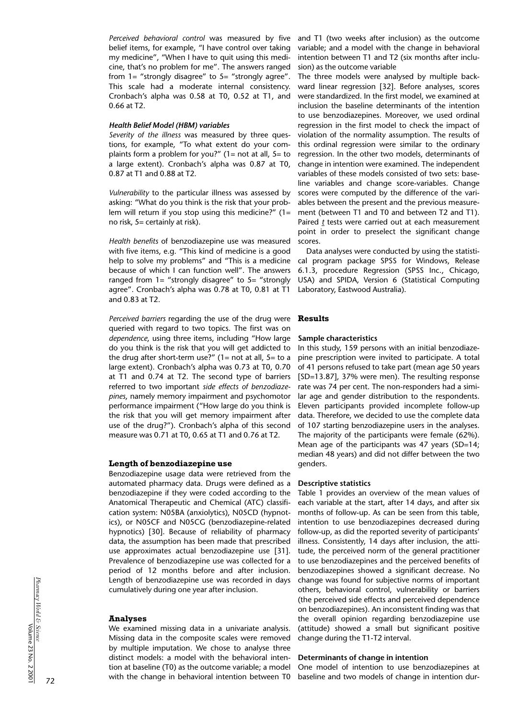*Perceived behavioral control* was measured by five belief items, for example, "I have control over taking my medicine", "When I have to quit using this medicine, that's no problem for me". The answers ranged from 1= "strongly disagree" to 5= "strongly agree". This scale had a moderate internal consistency. Cronbach's alpha was 0.58 at T0, 0.52 at T1, and 0.66 at T2.

# *Health Belief Model (HBM) variables*

*Severity of the illness* was measured by three questions, for example, "To what extent do your complaints form a problem for you?" (1= not at all, 5= to a large extent). Cronbach's alpha was 0.87 at T0, 0.87 at T1 and 0.88 at T2.

*Vulnerability* to the particular illness was assessed by asking: "What do you think is the risk that your problem will return if you stop using this medicine?" (1= no risk, 5= certainly at risk).

*Health benefits* of benzodiazepine use was measured with five items, e.g. "This kind of medicine is a good help to solve my problems" and "This is a medicine because of which I can function well". The answers ranged from 1= "strongly disagree" to 5= "strongly agree". Cronbach's alpha was 0.78 at T0, 0.81 at T1 and 0.83 at T2.

*Perceived barriers* regarding the use of the drug were queried with regard to two topics. The first was on *dependence*, using three items, including "How large do you think is the risk that you will get addicted to the drug after short-term use?" (1= not at all,  $5=$  to a large extent). Cronbach's alpha was 0.73 at T0, 0.70 at T1 and 0.74 at T2. The second type of barriers referred to two important *side effects of benzodiazepines*, namely memory impairment and psychomotor performance impairment ("How large do you think is the risk that you will get memory impairment after use of the drug?"). Cronbach's alpha of this second measure was 0.71 at T0, 0.65 at T1 and 0.76 at T2.

### **Length of benzodiazepine use**

Benzodiazepine usage data were retrieved from the automated pharmacy data. Drugs were defined as a benzodiazepine if they were coded according to the Anatomical Therapeutic and Chemical (ATC) classification system: N05BA (anxiolytics), N05CD (hypnotics), or N05CF and N05CG (benzodiazepine-related hypnotics) [30]. Because of reliability of pharmacy data, the assumption has been made that prescribed use approximates actual benzodiazepine use [31]. Prevalence of benzodiazepine use was collected for a period of 12 months before and after inclusion. Length of benzodiazepine use was recorded in days cumulatively during one year after inclusion.

# **Analyses**

We examined missing data in a univariate analysis. Missing data in the composite scales were removed by multiple imputation. We chose to analyse three distinct models: a model with the behavioral intention at baseline (T0) as the outcome variable; a model with the change in behavioral intention between T0

and T1 (two weeks after inclusion) as the outcome variable; and a model with the change in behavioral intention between T1 and T2 (six months after inclusion) as the outcome variable

The three models were analysed by multiple backward linear regression [32]. Before analyses, scores were standardized. In the first model, we examined at inclusion the baseline determinants of the intention to use benzodiazepines. Moreover, we used ordinal regression in the first model to check the impact of violation of the normality assumption. The results of this ordinal regression were similar to the ordinary regression. In the other two models, determinants of change in intention were examined. The independent variables of these models consisted of two sets: baseline variables and change score-variables. Change scores were computed by the difference of the variables between the present and the previous measurement (between T1 and T0 and between T2 and T1). Paired *t* tests were carried out at each measurement point in order to preselect the significant change scores.

Data analyses were conducted by using the statistical program package SPSS for Windows, Release 6.1.3, procedure Regression (SPSS Inc., Chicago, USA) and SPIDA, Version 6 (Statistical Computing Laboratory, Eastwood Australia).

# **Results**

# **Sample characteristics**

In this study, 159 persons with an initial benzodiazepine prescription were invited to participate. A total of 41 persons refused to take part (mean age 50 years [SD=13.87], 37% were men). The resulting response rate was 74 per cent. The non-responders had a similar age and gender distribution to the respondents. Eleven participants provided incomplete follow-up data. Therefore, we decided to use the complete data of 107 starting benzodiazepine users in the analyses. The majority of the participants were female (62%). Mean age of the participants was 47 years (SD=14; median 48 years) and did not differ between the two genders.

### **Descriptive statistics**

Table 1 provides an overview of the mean values of each variable at the start, after 14 days, and after six months of follow-up. As can be seen from this table, intention to use benzodiazepines decreased during follow-up, as did the reported severity of participants' illness. Consistently, 14 days after inclusion, the attitude, the perceived norm of the general practitioner to use benzodiazepines and the perceived benefits of benzodiazepines showed a significant decrease. No change was found for subjective norms of important others, behavioral control, vulnerability or barriers (the perceived side effects and perceived dependence on benzodiazepines). An inconsistent finding was that the overall opinion regarding benzodiazepine use (attitude) showed a small but significant positive change during the T1-T2 interval.

### **Determinants of change in intention**

One model of intention to use benzodiazepines at baseline and two models of change in intention dur-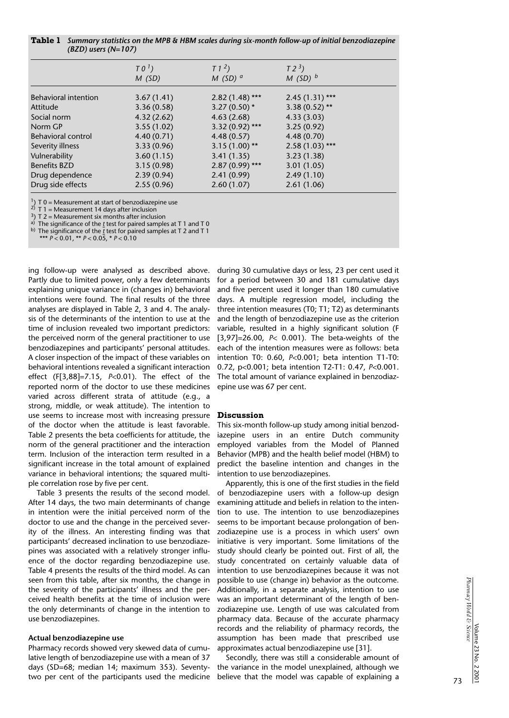| Table 1 Summary statistics on the MPB & HBM scales during six-month follow-up of initial benzodiazepine |
|---------------------------------------------------------------------------------------------------------|
| $(BZD)$ users $(N=107)$                                                                                 |

|                             | $TO1$ )    | T1 <sup>2</sup>  | T2 <sup>3</sup>  |
|-----------------------------|------------|------------------|------------------|
|                             | M(SD)      | $M$ (SD) $^a$    | $M$ (SD) $^b$    |
| <b>Behavioral intention</b> | 3.67(1.41) | $2.82(1.48)$ *** | $2.45(1.31)$ *** |
| Attitude                    | 3.36(0.58) | $3.27(0.50)$ *   | 3.38 $(0.52)$ ** |
| Social norm                 | 4.32(2.62) | 4.63(2.68)       | 4.33(3.03)       |
| Norm GP                     | 3.55(1.02) | $3.32(0.92)$ *** | 3.25(0.92)       |
| <b>Behavioral control</b>   | 4.40(0.71) | 4.48(0.57)       | 4.48(0.70)       |
| Severity illness            | 3.33(0.96) | $3.15(1.00)$ **  | $2.58(1.03)$ *** |
| Vulnerability               | 3.60(1.15) | 3.41(1.35)       | 3.23(1.38)       |
| <b>Benefits BZD</b>         | 3.15(0.98) | $2.87(0.99)$ *** | 3.01(1.05)       |
| Drug dependence             | 2.39(0.94) | 2.41(0.99)       | 2.49(1.10)       |
| Drug side effects           | 2.55(0.96) | 2.60(1.07)       | 2.61(1.06)       |

 $^{2)}$  T 1 = Measurement 14 days after inclusion

 $2^{3}$ ) T 2 = Measurement six months after inclusion  $a$ ) T a = Measurement six months after inclusion  $a$ ) The significance of the *t* test for paired sample

The significance of the *t* test for paired samples at T 1 and T 0 b) The significance of the *t* test for paired samples at T 2 and T 1

\*\*\* *P* < 0.01, \*\* *P* < 0.05, \* *P* < 0.10

ing follow-up were analysed as described above. Partly due to limited power, only a few determinants explaining unique variance in (changes in) behavioral intentions were found. The final results of the three analyses are displayed in Table 2, 3 and 4. The analysis of the determinants of the intention to use at the time of inclusion revealed two important predictors: the perceived norm of the general practitioner to use benzodiazepines and participants' personal attitudes. A closer inspection of the impact of these variables on behavioral intentions revealed a significant interaction effect (F[3,88]=7.15, *P*<0.01). The effect of the reported norm of the doctor to use these medicines varied across different strata of attitude (e.g., a strong, middle, or weak attitude). The intention to use seems to increase most with increasing pressure of the doctor when the attitude is least favorable. Table 2 presents the beta coefficients for attitude, the norm of the general practitioner and the interaction term. Inclusion of the interaction term resulted in a significant increase in the total amount of explained variance in behavioral intentions; the squared multiple correlation rose by five per cent.

Table 3 presents the results of the second model. After 14 days, the two main determinants of change in intention were the initial perceived norm of the doctor to use and the change in the perceived severity of the illness. An interesting finding was that participants' decreased inclination to use benzodiazepines was associated with a relatively stronger influence of the doctor regarding benzodiazepine use. Table 4 presents the results of the third model. As can seen from this table, after six months, the change in the severity of the participants' illness and the perceived health benefits at the time of inclusion were the only determinants of change in the intention to use benzodiazepines.

### **Actual benzodiazepine use**

Pharmacy records showed very skewed data of cumulative length of benzodiazepine use with a mean of 37 days (SD=68; median 14; maximum 353). Seventytwo per cent of the participants used the medicine during 30 cumulative days or less, 23 per cent used it for a period between 30 and 181 cumulative days and five percent used it longer than 180 cumulative days. A multiple regression model, including the three intention measures (T0; T1; T2) as determinants and the length of benzodiazepine use as the criterion variable, resulted in a highly significant solution (F [3,97]=26.00, *P*< 0.001). The beta-weights of the each of the intention measures were as follows: beta intention T0: 0.60, *P*<0.001; beta intention T1-T0: 0.72, p<0.001; beta intention T2-T1: 0.47, *P*<0.001. The total amount of variance explained in benzodiazepine use was 67 per cent.

### **Discussion**

This six-month follow-up study among initial benzodiazepine users in an entire Dutch community employed variables from the Model of Planned Behavior (MPB) and the health belief model (HBM) to predict the baseline intention and changes in the intention to use benzodiazepines.

Apparently, this is one of the first studies in the field of benzodiazepine users with a follow-up design examining attitude and beliefs in relation to the intention to use. The intention to use benzodiazepines seems to be important because prolongation of benzodiazepine use is a process in which users' own initiative is very important. Some limitations of the study should clearly be pointed out. First of all, the study concentrated on certainly valuable data of intention to use benzodiazepines because it was not possible to use (change in) behavior as the outcome. Additionally, in a separate analysis, intention to use was an important determinant of the length of benzodiazepine use. Length of use was calculated from pharmacy data. Because of the accurate pharmacy records and the reliability of pharmacy records, the assumption has been made that prescribed use approximates actual benzodiazepine use [31].

Secondly, there was still a considerable amount of the variance in the model unexplained, although we believe that the model was capable of explaining a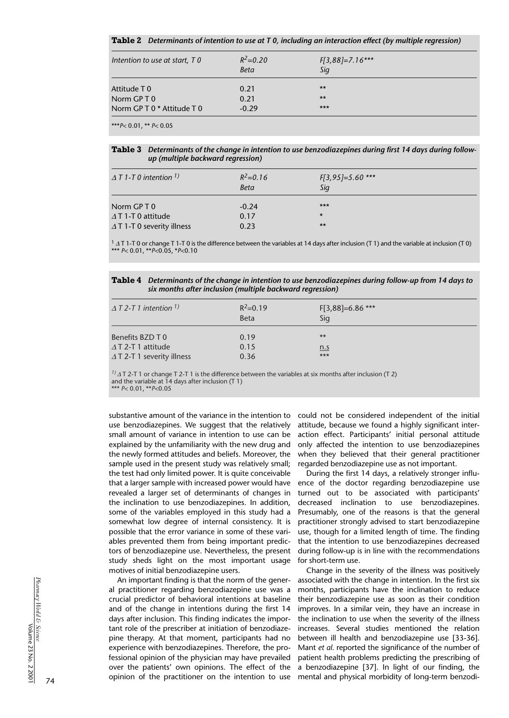# **Table 2** *Determinants of intention to use at T 0, including an interaction effect (by multiple regression)*

| Intention to use at start, $T \theta$ | $R^2 = 0.20$<br><b>Beta</b> | $F[3,88] = 7.16***$<br>Sig |  |
|---------------------------------------|-----------------------------|----------------------------|--|
| Attitude T 0                          | 0.21                        | $***$                      |  |
| Norm GPT0                             | 0.21                        | $***$                      |  |
| Norm GP T 0 * Attitude T 0            | $-0.29$                     | $***$                      |  |
|                                       |                             |                            |  |

\*\*\**P*< 0.01, \*\* *P*< 0.05

### **Table 3** *Determinants of the change in intention to use benzodiazepines during first 14 days during followup (multiple backward regression)*

| $\Delta$ T 1-T 0 intention <sup>1)</sup>                       | $R^2 = 0.16$<br><b>Beta</b> | $F[3,95]=5.60$ ***<br>Sig |  |
|----------------------------------------------------------------|-----------------------------|---------------------------|--|
| Norm GPT0                                                      | $-0.24$                     | $***$                     |  |
| $\Delta$ T 1-T 0 attitude<br>$\Delta$ T 1-T 0 severity illness | 0.17<br>0.23                | $\star$<br>$***$          |  |

 $1\,$   $\Delta$  T 1-T 0 or change T 1-T 0 is the difference between the variables at 14 days after inclusion (T 1) and the variable at inclusion (T 0) \*\*\* *P*< 0.01, \*\**P*<0.05, \**P*<0.10

# **Table 4** *Determinants of the change in intention to use benzodiazepines during follow-up from 14 days to six months after inclusion (multiple backward regression)*

| $\triangle$ T 2-T 1 intention $^{1)}$                             | $R^2 = 0.19$<br><b>Beta</b> | $F[3,88] = 6.86$ ***<br>Sig |
|-------------------------------------------------------------------|-----------------------------|-----------------------------|
| Benefits BZD T 0                                                  | 0.19                        | $***$                       |
| $\triangle$ T 2-T 1 attitude<br>$\Delta$ T 2-T 1 severity illness | 0.15<br>0.36                | n.s<br>$***$                |

*1)* <sup>∆</sup> T 2-T 1 or change T 2-T 1 is the difference between the variables at six months after inclusion (T 2) and the variable at 14 days after inclusion (T 1)

\*\*\* *P*< 0.01, \*\**P*<0.05

substantive amount of the variance in the intention to use benzodiazepines. We suggest that the relatively small amount of variance in intention to use can be explained by the unfamiliarity with the new drug and the newly formed attitudes and beliefs. Moreover, the sample used in the present study was relatively small; the test had only limited power. It is quite conceivable that a larger sample with increased power would have revealed a larger set of determinants of changes in the inclination to use benzodiazepines. In addition, some of the variables employed in this study had a somewhat low degree of internal consistency. It is possible that the error variance in some of these variables prevented them from being important predictors of benzodiazepine use. Nevertheless, the present study sheds light on the most important usage motives of initial benzodiazepine users.

An important finding is that the norm of the general practitioner regarding benzodiazepine use was a crucial predictor of behavioral intentions at baseline and of the change in intentions during the first 14 days after inclusion. This finding indicates the important role of the prescriber at initiation of benzodiazepine therapy. At that moment, participants had no experience with benzodiazepines. Therefore, the professional opinion of the physician may have prevailed over the patients' own opinions. The effect of the opinion of the practitioner on the intention to use

could not be considered independent of the initial attitude, because we found a highly significant interaction effect. Participants' initial personal attitude only affected the intention to use benzodiazepines when they believed that their general practitioner regarded benzodiazepine use as not important.

During the first 14 days, a relatively stronger influence of the doctor regarding benzodiazepine use turned out to be associated with participants' decreased inclination to use benzodiazepines. Presumably, one of the reasons is that the general practitioner strongly advised to start benzodiazepine use, though for a limited length of time. The finding that the intention to use benzodiazepines decreased during follow-up is in line with the recommendations for short-term use.

Change in the severity of the illness was positively associated with the change in intention. In the first six months, participants have the inclination to reduce their benzodiazepine use as soon as their condition improves. In a similar vein, they have an increase in the inclination to use when the severity of the illness increases. Several studies mentioned the relation between ill health and benzodiazepine use [33-36]. Mant *et al*. reported the significance of the number of patient health problems predicting the prescribing of a benzodiazepine [37]. In light of our finding, the mental and physical morbidity of long-term benzodi-